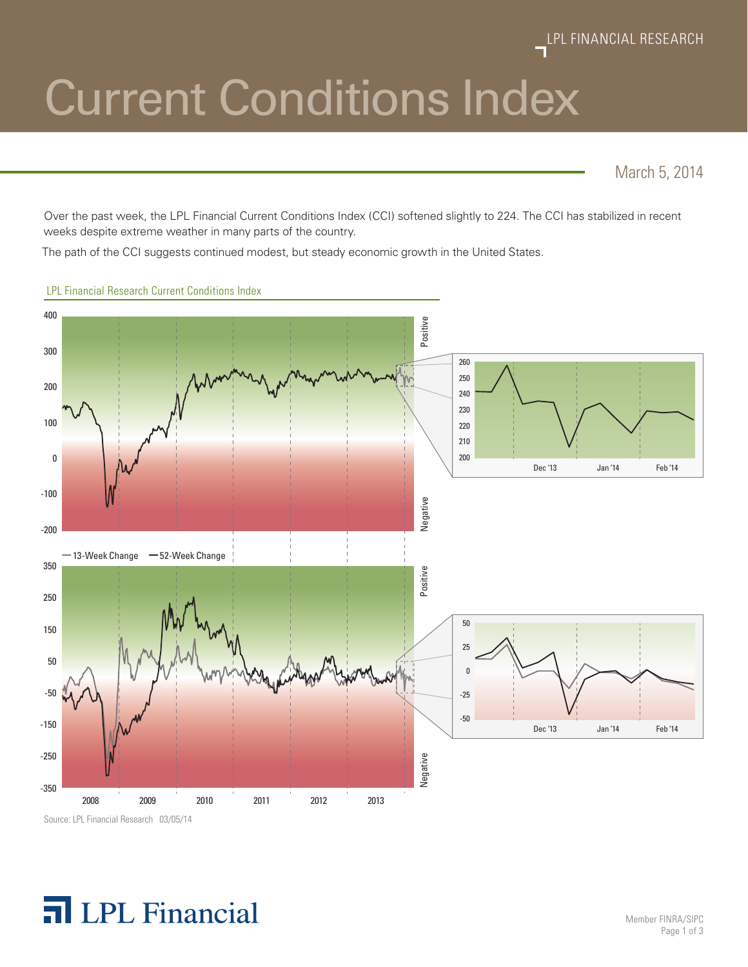# Current Conditions Index

March 5, 2014

Over the past week, the LPL Financial Current Conditions Index (CCI) softened slightly to 224. The CCI has stabilized in recent weeks despite extreme weather in many parts of the country.

The path of the CCI suggests continued modest, but steady economic growth in the United States.



LPL Financial Research Current Conditions Index

Source: LPL Financial Research 03/05/14

## **T** LPL Financial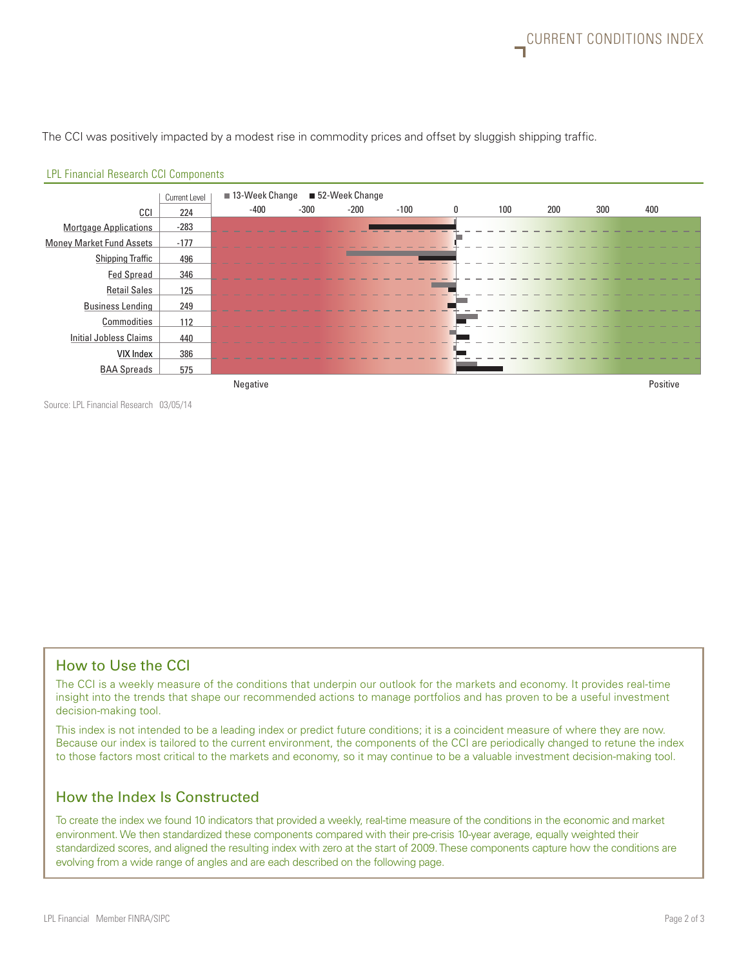The CCI was positively impacted by a modest rise in commodity prices and offset by sluggish shipping traffic.



#### LPL Financial Research CCI Components

Source: LPL Financial Research 03/05/14

#### How to Use the CCI

The CCI is a weekly measure of the conditions that underpin our outlook for the markets and economy. It provides real-time insight into the trends that shape our recommended actions to manage portfolios and has proven to be a useful investment decision-making tool.

This index is not intended to be a leading index or predict future conditions; it is a coincident measure of where they are now. Because our index is tailored to the current environment, the components of the CCI are periodically changed to retune the index to those factors most critical to the markets and economy, so it may continue to be a valuable investment decision-making tool.

#### How the Index Is Constructed

To create the index we found 10 indicators that provided a weekly, real-time measure of the conditions in the economic and market environment. We then standardized these components compared with their pre-crisis 10-year average, equally weighted their standardized scores, and aligned the resulting index with zero at the start of 2009. These components capture how the conditions are evolving from a wide range of angles and are each described on the following page.